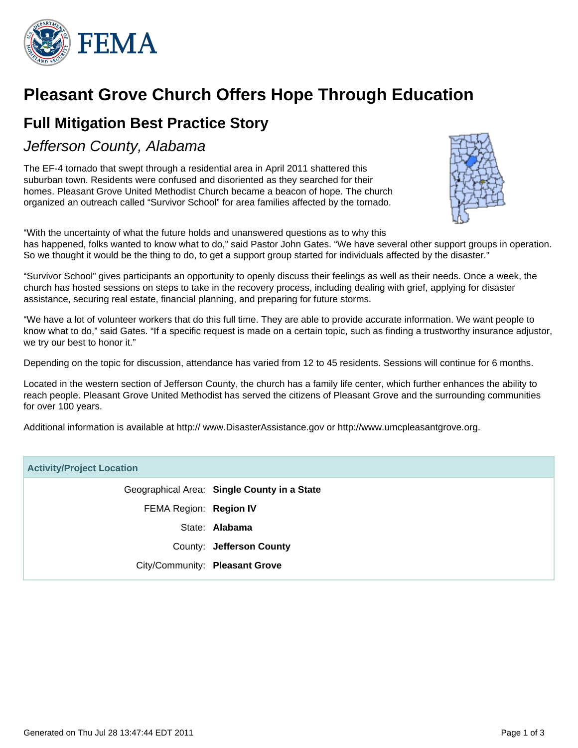

# **Pleasant Grove Church Offers Hope Through Education**

### **Full Mitigation Best Practice Story**

Jefferson County, Alabama

The EF-4 tornado that swept through a residential area in April 2011 shattered this suburban town. Residents were confused and disoriented as they searched for their homes. Pleasant Grove United Methodist Church became a beacon of hope. The church organized an outreach called "Survivor School" for area families affected by the tornado.



"With the uncertainty of what the future holds and unanswered questions as to why this has happened, folks wanted to know what to do," said Pastor John Gates. "We have several other support groups in operation. So we thought it would be the thing to do, to get a support group started for individuals affected by the disaster."

"Survivor School" gives participants an opportunity to openly discuss their feelings as well as their needs. Once a week, the church has hosted sessions on steps to take in the recovery process, including dealing with grief, applying for disaster assistance, securing real estate, financial planning, and preparing for future storms.

"We have a lot of volunteer workers that do this full time. They are able to provide accurate information. We want people to know what to do," said Gates. "If a specific request is made on a certain topic, such as finding a trustworthy insurance adjustor, we try our best to honor it."

Depending on the topic for discussion, attendance has varied from 12 to 45 residents. Sessions will continue for 6 months.

Located in the western section of Jefferson County, the church has a family life center, which further enhances the ability to reach people. Pleasant Grove United Methodist has served the citizens of Pleasant Grove and the surrounding communities for over 100 years.

Additional information is available at http:// www.DisasterAssistance.gov or http://www.umcpleasantgrove.org.

# **Activity/Project Location** Geographical Area: **Single County in a State** FEMA Region: **Region IV** State: **Alabama** County: **Jefferson County** City/Community: **Pleasant Grove**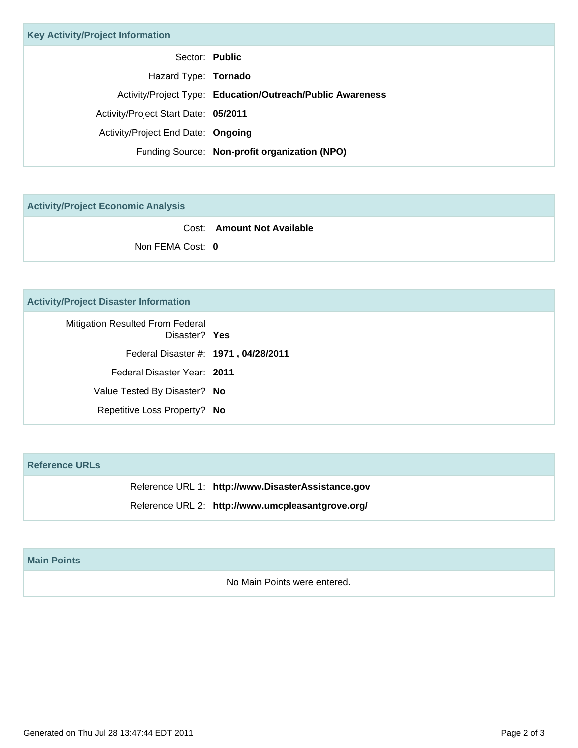| <b>Key Activity/Project Information</b> |                                                            |
|-----------------------------------------|------------------------------------------------------------|
|                                         | Sector: Public                                             |
| Hazard Type: Tornado                    |                                                            |
|                                         | Activity/Project Type: Education/Outreach/Public Awareness |
| Activity/Project Start Date: 05/2011    |                                                            |
| Activity/Project End Date: Ongoing      |                                                            |
|                                         | Funding Source: Non-profit organization (NPO)              |

**Activity/Project Economic Analysis**

Cost: **Amount Not Available** Non FEMA Cost: **0**

### **Activity/Project Disaster Information**

| <b>Mitigation Resulted From Federal</b><br>Disaster? Yes |  |
|----------------------------------------------------------|--|
| Federal Disaster #: 1971, 04/28/2011                     |  |
| Federal Disaster Year: 2011                              |  |
| Value Tested By Disaster? No                             |  |
| Repetitive Loss Property? No                             |  |
|                                                          |  |

#### **Reference URLs**

Reference URL 1: **http://www.DisasterAssistance.gov**

Reference URL 2: **http://www.umcpleasantgrove.org/**

#### **Main Points**

No Main Points were entered.